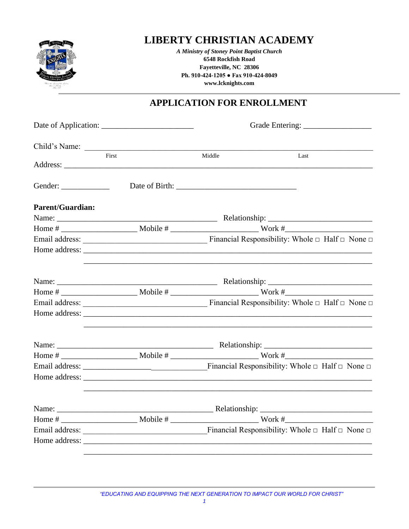

# **LIBERTY CHRISTIAN ACADEMY**

*A Ministry of Stoney Point Baptist Church* **6548 Rockfish Road Fayetteville, NC 28306 Ph. 910-424-1205 ● Fax 910-424-8049 www.lcknights.com**

# **APPLICATION FOR ENROLLMENT**

|                         |  | Child's Name: |                                                                                  |
|-------------------------|--|---------------|----------------------------------------------------------------------------------|
|                         |  |               |                                                                                  |
|                         |  |               |                                                                                  |
|                         |  |               |                                                                                  |
| <b>Parent/Guardian:</b> |  |               |                                                                                  |
|                         |  |               |                                                                                  |
|                         |  |               |                                                                                  |
|                         |  |               |                                                                                  |
|                         |  |               | ,我们也不能在这里的时候,我们也不能在这里的时候,我们也不能在这里的时候,我们也不能会在这里的时候,我们也不能会在这里的时候,我们也不能会在这里的时候,我们也不 |
|                         |  |               |                                                                                  |
|                         |  |               |                                                                                  |
|                         |  |               |                                                                                  |
|                         |  |               |                                                                                  |
|                         |  |               |                                                                                  |
|                         |  |               |                                                                                  |
|                         |  |               |                                                                                  |
|                         |  |               |                                                                                  |
|                         |  |               |                                                                                  |
|                         |  |               |                                                                                  |
|                         |  |               |                                                                                  |
|                         |  |               |                                                                                  |
|                         |  |               |                                                                                  |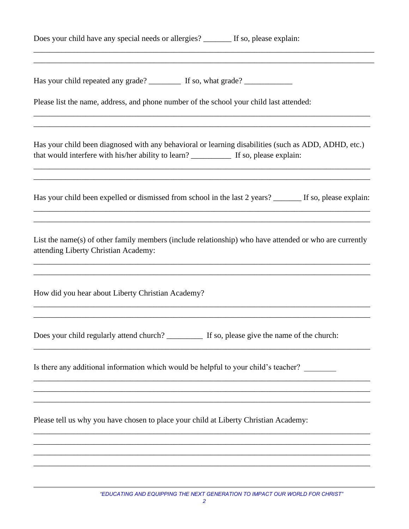| Does your child have any special needs or allergies? ______ If so, please explain:                                                             |
|------------------------------------------------------------------------------------------------------------------------------------------------|
| Please list the name, address, and phone number of the school your child last attended:                                                        |
| Has your child been diagnosed with any behavioral or learning disabilities (such as ADD, ADHD, etc.)                                           |
| Has your child been expelled or dismissed from school in the last 2 years? _______ If so, please explain:                                      |
| List the name(s) of other family members (include relationship) who have attended or who are currently<br>attending Liberty Christian Academy: |
| How did you hear about Liberty Christian Academy?                                                                                              |
| Does your child regularly attend church? __________ If so, please give the name of the church:                                                 |
| Is there any additional information which would be helpful to your child's teacher?                                                            |
| Please tell us why you have chosen to place your child at Liberty Christian Academy:                                                           |
|                                                                                                                                                |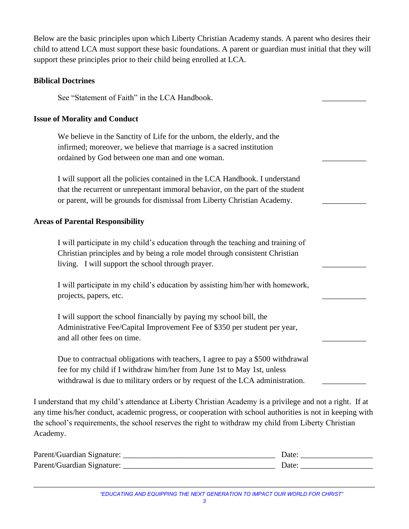Below are the basic principles upon which Liberty Christian Academy stands. A parent who desires their child to attend LCA must support these basic foundations. A parent or guardian must initial that they will support these principles prior to their child being enrolled at LCA.

## **Biblical Doctrines**

See "Statement of Faith" in the LCA Handbook.

# **Issue of Morality and Conduct**

We believe in the Sanctity of Life for the unborn, the elderly, and the infirmed; moreover, we believe that marriage is a sacred institution ordained by God between one man and one woman.

I will support all the policies contained in the LCA Handbook. I understand that the recurrent or unrepentant immoral behavior, on the part of the student or parent, will be grounds for dismissal from Liberty Christian Academy.

## **Areas of Parental Responsibility**

I will participate in my child's education through the teaching and training of Christian principles and by being a role model through consistent Christian living. I will support the school through prayer.

I will participate in my child's education by assisting him/her with homework, projects, papers, etc. \_\_\_\_\_\_\_\_\_\_\_

I will support the school financially by paying my school bill, the Administrative Fee/Capital Improvement Fee of \$350 per student per year, and all other fees on time.

Due to contractual obligations with teachers, I agree to pay a \$500 withdrawal fee for my child if I withdraw him/her from June 1st to May 1st, unless withdrawal is due to military orders or by request of the LCA administration.

I understand that my child's attendance at Liberty Christian Academy is a privilege and not a right. If at any time his/her conduct, academic progress, or cooperation with school authorities is not in keeping with the school's requirements, the school reserves the right to withdraw my child from Liberty Christian Academy.

| Parent/Guardian Signature: | Jate   |
|----------------------------|--------|
| Parent/Guardian Signature: | Date . |